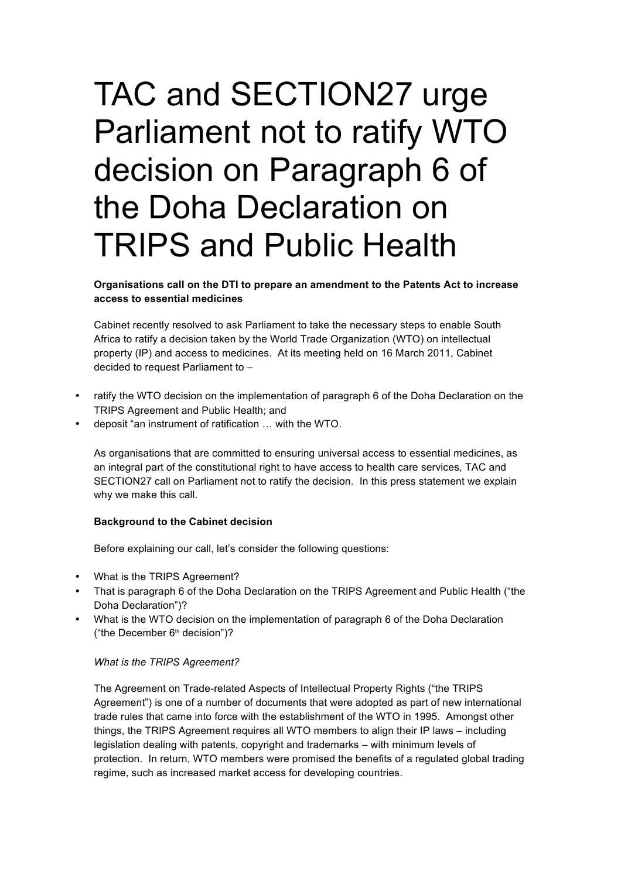# TAC and SECTION27 urge Parliament not to ratify WTO decision on Paragraph 6 of the Doha Declaration on TRIPS and Public Health

**Organisations call on the DTI to prepare an amendment to the Patents Act to increase access to essential medicines**

Cabinet recently resolved to ask Parliament to take the necessary steps to enable South Africa to ratify a decision taken by the World Trade Organization (WTO) on intellectual property (IP) and access to medicines. At its meeting held on 16 March 2011, Cabinet decided to request Parliament to –

- ratify the WTO decision on the implementation of paragraph 6 of the Doha Declaration on the TRIPS Agreement and Public Health; and
- deposit "an instrument of ratification … with the WTO.

As organisations that are committed to ensuring universal access to essential medicines, as an integral part of the constitutional right to have access to health care services, TAC and SECTION27 call on Parliament not to ratify the decision. In this press statement we explain why we make this call.

## **Background to the Cabinet decision**

Before explaining our call, let's consider the following questions:

- What is the TRIPS Agreement?
- That is paragraph 6 of the Doha Declaration on the TRIPS Agreement and Public Health ("the Doha Declaration")?
- What is the WTO decision on the implementation of paragraph 6 of the Doha Declaration ("the December  $6<sup>th</sup>$  decision")?

#### *What is the TRIPS Agreement?*

The Agreement on Trade-related Aspects of Intellectual Property Rights ("the TRIPS Agreement") is one of a number of documents that were adopted as part of new international trade rules that came into force with the establishment of the WTO in 1995. Amongst other things, the TRIPS Agreement requires all WTO members to align their IP laws – including legislation dealing with patents, copyright and trademarks – with minimum levels of protection. In return, WTO members were promised the benefits of a regulated global trading regime, such as increased market access for developing countries.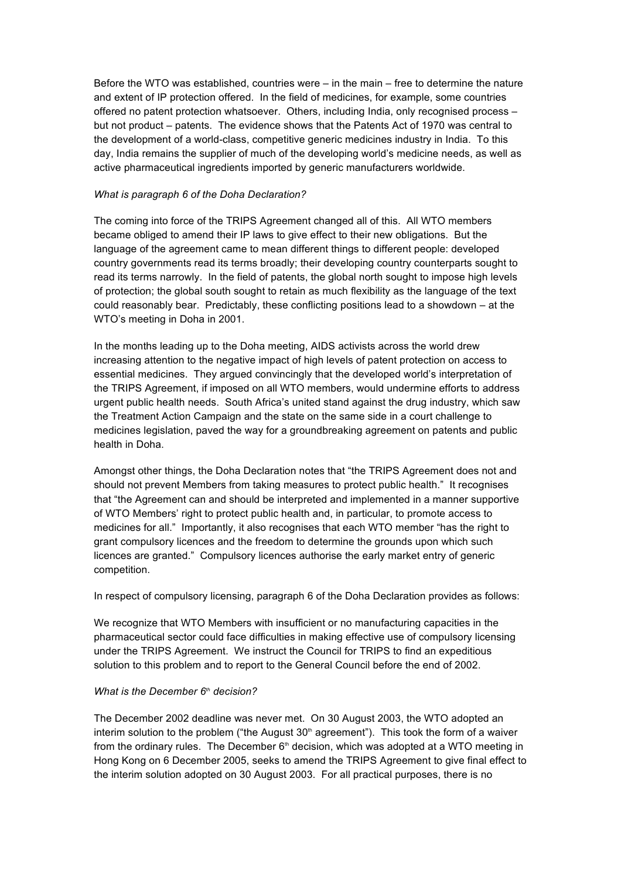Before the WTO was established, countries were – in the main – free to determine the nature and extent of IP protection offered. In the field of medicines, for example, some countries offered no patent protection whatsoever. Others, including India, only recognised process – but not product – patents. The evidence shows that the Patents Act of 1970 was central to the development of a world-class, competitive generic medicines industry in India. To this day, India remains the supplier of much of the developing world's medicine needs, as well as active pharmaceutical ingredients imported by generic manufacturers worldwide.

## *What is paragraph 6 of the Doha Declaration?*

The coming into force of the TRIPS Agreement changed all of this. All WTO members became obliged to amend their IP laws to give effect to their new obligations. But the language of the agreement came to mean different things to different people: developed country governments read its terms broadly; their developing country counterparts sought to read its terms narrowly. In the field of patents, the global north sought to impose high levels of protection; the global south sought to retain as much flexibility as the language of the text could reasonably bear. Predictably, these conflicting positions lead to a showdown – at the WTO's meeting in Doha in 2001.

In the months leading up to the Doha meeting, AIDS activists across the world drew increasing attention to the negative impact of high levels of patent protection on access to essential medicines. They argued convincingly that the developed world's interpretation of the TRIPS Agreement, if imposed on all WTO members, would undermine efforts to address urgent public health needs. South Africa's united stand against the drug industry, which saw the Treatment Action Campaign and the state on the same side in a court challenge to medicines legislation, paved the way for a groundbreaking agreement on patents and public health in Doha.

Amongst other things, the Doha Declaration notes that "the TRIPS Agreement does not and should not prevent Members from taking measures to protect public health." It recognises that "the Agreement can and should be interpreted and implemented in a manner supportive of WTO Members' right to protect public health and, in particular, to promote access to medicines for all." Importantly, it also recognises that each WTO member "has the right to grant compulsory licences and the freedom to determine the grounds upon which such licences are granted." Compulsory licences authorise the early market entry of generic competition.

In respect of compulsory licensing, paragraph 6 of the Doha Declaration provides as follows:

We recognize that WTO Members with insufficient or no manufacturing capacities in the pharmaceutical sector could face difficulties in making effective use of compulsory licensing under the TRIPS Agreement. We instruct the Council for TRIPS to find an expeditious solution to this problem and to report to the General Council before the end of 2002.

### *What is the December 6<sup>th</sup> decision?*

The December 2002 deadline was never met. On 30 August 2003, the WTO adopted an interim solution to the problem ("the August  $30<sup>th</sup>$  agreement"). This took the form of a waiver from the ordinary rules. The December  $6<sup>th</sup>$  decision, which was adopted at a WTO meeting in Hong Kong on 6 December 2005, seeks to amend the TRIPS Agreement to give final effect to the interim solution adopted on 30 August 2003. For all practical purposes, there is no